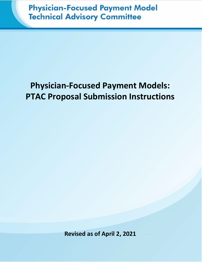# **Physician-Focused Payment Model Technical Advisory Committee**

# **Physician-Focused Payment Models: PTAC Proposal Submission Instructions**

**Revised as of April 2, 2021**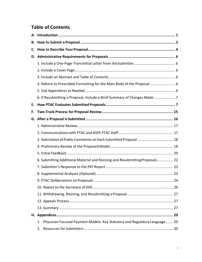# **Table of Contents**

| В. |                                                                                   |  |
|----|-----------------------------------------------------------------------------------|--|
| C. |                                                                                   |  |
|    |                                                                                   |  |
|    |                                                                                   |  |
|    |                                                                                   |  |
|    |                                                                                   |  |
|    | 4. Adhere to Prescribed Formatting for the Main Body of the Proposal 6            |  |
|    |                                                                                   |  |
|    | 6. If Resubmitting a Proposal, Include a Brief Summary of Changes Made  7         |  |
| Е. |                                                                                   |  |
| F. |                                                                                   |  |
|    |                                                                                   |  |
|    |                                                                                   |  |
|    |                                                                                   |  |
|    | 3. Solicitation of Public Comments on Each Submitted Proposal  18                 |  |
|    |                                                                                   |  |
|    |                                                                                   |  |
|    | 6. Submitting Additional Material and Revising and Resubmitting Proposals 22      |  |
|    |                                                                                   |  |
|    |                                                                                   |  |
|    |                                                                                   |  |
|    |                                                                                   |  |
|    |                                                                                   |  |
|    |                                                                                   |  |
|    |                                                                                   |  |
|    |                                                                                   |  |
|    | Physician-Focused Payment Models: Key Statutory and Regulatory Language  29<br>1. |  |
|    | 2.                                                                                |  |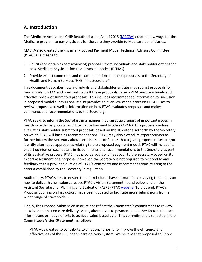# <span id="page-2-0"></span>**A. Introduction**

The Medicare Access and CHIP Reauthorization Act of 2015 [\(MACRA\)](https://www.congress.gov/bill/114th-congress/house-bill/2/text) created new ways for the Medicare program to pay physicians for the care they provide to Medicare beneficiaries.

MACRA also created the Physician-Focused Payment Model Technical Advisory Committee (PTAC) as a means to:

- 1. Solicit (and obtain expert review of) proposals from individuals and stakeholder entities for new Medicare physician-focused payment models(PFPMs)
- 2. Provide expert comments and recommendations on these proposals to the Secretary of Health and Human Services (HHS; "the Secretary")

This document describes how individuals and stakeholder entities may submit proposals for new PFPMs to PTAC and how best to craft these proposals to help PTAC ensure a timely and effective review of submitted proposals. This includes recommended information for inclusion in proposed model submissions. It also provides an overview of the processes PTAC uses to review proposals, as well as information on how PTAC evaluates proposals and makes comments and recommendations to the Secretary.

PTAC seeks to inform the Secretary in a manner that raises awareness of important issues in health care delivery, costs, and Alternative Payment Models (APMs). This process involves evaluating stakeholder-submitted proposals based on the 10 criteria set forth by the Secretary, on which PTAC will base its recommendations. PTAC may also extend its expert opinion to further inform the Secretary about certain issues or factors that a given proposal raises and/or identify alternative approaches relating to the proposed payment model. PTAC will include its expert opinion on such details in its comments and recommendations to the Secretary as part of its evaluative process. PTAC may provide additional feedback to the Secretary based on its expert assessment of a proposal; however, the Secretary is not required to respond to any feedback that is provided outside of PTAC's comments and recommendations relating to the criteria established by the Secretary in regulation.

Additionally, PTAC seeks to ensure that stakeholders have a forum for conveying their ideas on how to deliver higher-value care; see PTAC's Vision Statement, found below and on the Assistant Secretary for Planning and Evaluation (ASPE) PTAC [website.](https://aspe.hhs.gov/ptac-physician-focused-payment-model-technical-advisory-committee) To that end, PTAC's Proposal Submission Instructions have been updated to facilitate more submissions from a wider range of stakeholders.

Finally, the Proposal Submission Instructions reflect the Committee's commitment to review stakeholder input on care delivery issues, alternatives to payment, and other factors that can inform transformative efforts to achieve value-based care. This commitment is reflected in the Committee's **Vision Statement**, as follows:

PTAC was created to contribute to a national priority to improve the efficiency and effectiveness of the U.S. health care delivery system. We believe that proposed solutions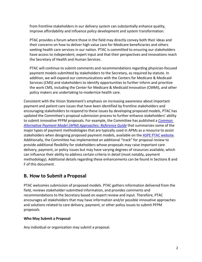from frontline stakeholders in our delivery system can substantially enhance quality, improve affordability and influence policy development and system transformation.

PTAC provides a forum where those in the field may directly convey both their ideas and their concerns on how to deliver high value care for Medicare beneficiaries and others seeking health care services in our nation. PTAC is committed to ensuring our stakeholders have access to independent, expert input and that their perspectives and innovations reach the Secretary of Health and Human Services.

PTAC will continue to submit comments and recommendations regarding physician-focused payment models submitted by stakeholders to the Secretary, as required by statute. In addition, we will expand our communications with the Centers for Medicare & Medicaid Services (CMS) and stakeholders to identify opportunities to further inform and prioritize the work CMS, including the Center for Medicare & Medicaid Innovation (CMMI), and other policy makers are undertaking to modernize health care.

Consistent with the Vision Statement's emphasis on increasing awareness about important payment and patient care issues that have been identified by frontline stakeholders and encouraging stakeholders to respond to these issues by developing proposed models, PTAC has updated the Committee's proposal submission process to further enhance stakeholders' ability to submit innovative PFPM proposals. For example, the Committee has published a *[Common](https://aspe.hhs.gov/system/files/pdf/261946/Common-APMs-Reference-Guide.pdf)  [Alternative Payment Model \(APM\) Approaches: Reference Guide](https://aspe.hhs.gov/system/files/pdf/261946/Common-APMs-Reference-Guide.pdf)* that summarizes some of the major types of payment methodologies that are typically used in APMs as a resource to assist stakeholders when designing proposed payment models, available on the [ASPE PTAC website.](https://aspe.hhs.gov/resources-public-comment-physician-focused-payment-model-technical-advisory-committee) Additionally, the Committee has implemented an additional "track" for proposal review to provide additional flexibility for stakeholders whose proposals may raise important care delivery, payment, or policy issues but may have varying degrees of resources available, which can influence their ability to address certain criteria in detail (most notably, payment methodology). Additional details regarding these enhancements can be found in Sections B and F of this document.

# <span id="page-3-0"></span>**B. How to Submit a Proposal**

PTAC welcomes submission of proposed models. PTAC gathers information delivered from the field, reviews stakeholder-submitted information, and provides comments and recommendations to the Secretary based on expert review and input. Therefore, PTAC encourages all stakeholders that may have information and/or possible innovative approaches and solutions related to care delivery, payment, or other policy issues to submit PFPM proposals.

#### **Who May Submit a Proposal**

Any individual or organization may submit a proposal.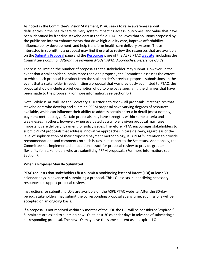As noted in the Committee's Vision Statement, PTAC seeks to raise awareness about deficiencies in the health care delivery system impacting access, outcomes, and value that have been identified by frontline stakeholders in the field. PTAC believes that solutions proposed by the public can inform enhancements that drive high-quality care, improve affordability, influence policy development, and help transform health care delivery systems. Those interested in submitting a proposal may find it useful to review the resources that are available on the [Submit a Proposal](https://aspe.hhs.gov/submit-a-proposal-ptac) page and the [Resources](https://aspe.hhs.gov/resources-public-comment-physician-focused-payment-model-technical-advisory-committee) page of the ASPE PTAC [website,](https://aspe.hhs.gov/ptac-physician-focused-payment-model-technical-advisory-committee) including the Committee's *Common Alternative Payment Model (APM) Approaches: Reference Guide*.

There is no limit on the number of proposals that a stakeholder may submit. However, in the event that a stakeholder submits more than one proposal, the Committee assesses the extent to which each proposal is distinct from the stakeholder's previous proposal submissions. In the event that a stakeholder is resubmitting a proposal that was previously submitted to PTAC, the proposal should include a brief description of up to one page specifying the changes that have been made to the proposal. (For more information, see Section D.)

Note: While PTAC will use the Secretary's 10 criteria to review all proposals, it recognizes that stakeholders who develop and submit a PFPM proposal have varying degrees of resources available, which can influence their ability to address certain criteria in detail (most notably, payment methodology). Certain proposals may have strengths within some criteria and weaknesses in others; however, when evaluated as a whole, a given proposal may raise important care delivery, payment, or policy issues. Therefore, PTAC encourages stakeholders to submit PFPM proposals that address innovative approaches in care delivery, regardless of the level of sophistication of their proposed payment methodology; it is PTAC's intention to provide recommendations and comments on such issues in its report to the Secretary. Additionally, the Committee has implemented an additional track for proposal review to provide greater flexibility for stakeholders who are submitting PFPM proposals. (For more information, see Section F.)

#### **When a Proposal May Be Submitted**

PTAC requests that stakeholders first submit a nonbinding letter of intent (LOI) at least 30 calendar days in advance of submitting a proposal. This LOI assists in identifying necessary resources to support proposal review.

Instructions for submitting LOIs are available on the ASPE PTAC [website.](https://aspe.hhs.gov/proposal-submissions-physician-focused-payment-model-technical-advisory-committee) After the 30-day period, stakeholders may submit the corresponding proposal at any time; submissions will be accepted on an ongoing basis.

If a proposal is not received within six months of the LOI, the LOI will be considered"expired." Submitters are asked to submit a new LOI at least 30 calendar days in advance of submitting a corresponding proposal. The new LOI may have the same content as an expired LOI.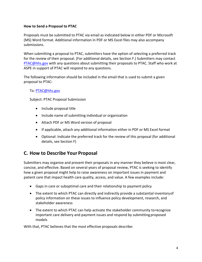#### **How to Send a Proposal to PTAC**

Proposals must be submitted to PTAC via email as indicated below in either PDF or Microsoft (MS) Word format. Additional information in PDF or MS Excel files may also accompany submissions.

When submitting a proposal to PTAC, submitters have the option of selecting a preferred track for the review of their proposal. (For additional details, see Section F.) Submitters may contact [PTAC@hhs.gov](mailto:PTAC@hhs.gov) with any questions about submitting their proposals to PTAC. Staff who work at ASPE in support of PTAC will respond to any questions.

The following information should be included in the email that is used to submit a given proposal to PTAC:

To: [PTAC@hhs.gov](mailto:PTAC@hhs.gov?subject=Proposal%20Submission)

Subject: PTAC Proposal Submission

- Include proposal title
- Include name of submitting individual or organization
- Attach PDF or MS Word version of proposal
- If applicable, attach any additional information either in PDF or MS Excel format
- Optional: Indicate the preferred track for the review of this proposal (for additional details, see Section F)

# <span id="page-5-0"></span>**C. How to Describe Your Proposal**

Submitters may organize and present their proposals in any manner they believe is most clear, concise, and effective. Based on several years of proposal review, PTAC is seeking to identify how a given proposal might help to raise awareness on important issues in payment and patient care that impact health care quality, access, and value. A few examples include:

- Gaps in care or suboptimal care and their relationship to payment policy
- The extent to which PTAC can directly and indirectly provide a substantial inventory of policy information on these issues to influence policy development, research, and stakeholder awareness
- The extent to which PTAC can help activate the stakeholder community to recognize important care delivery and payment issues and respond by submitting proposed models

With that, PTAC believes that the most effective proposals describe: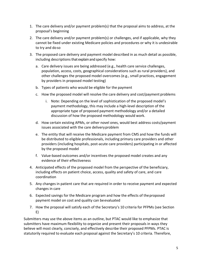- 1. The care delivery and/or payment problem(s) that the proposal aims to address, at the proposal's beginning
- 2. The care delivery and/or payment problem(s) or challenges, and if applicable, why they cannot be fixed under existing Medicare policies and procedures or why it is undesirable to try and doso
- 3. The proposed care delivery and payment model described in as much detail as possible, including descriptions that explain and specify how:
	- a. Care delivery issues are being addressed (e.g., health care service challenges, population, access, costs, geographical considerations such as rural providers), and other challenges the proposed model overcomes (e.g., small practices, engagement by providers in proposed model testing)
	- b. Types of patients who would be eligible for the payment
	- c. How the proposed model will resolve the care delivery and cost/payment problems
		- i. Note: Depending on the level of sophistication of the proposed model's payment methodology, this may include a high-level description of the appropriate type of proposed payment methodology and/or a detailed discussion of how the proposed methodology would work.
	- d. How certain existing APMs, or other novel ones, would best address costs/payment issues associated with the care delivery problem
	- e. The entity that will receive the Medicare payment from CMS and how the funds will be distributed to eligible professionals, including primary care providers and other providers (including hospitals, post-acute care providers) participating in or affected by the proposed model
	- f. Value-based outcomes and/or incentives the proposed model creates and any evidence of their effectiveness
- 4. Anticipated effects of the proposed model from the perspective of the beneficiary, including effects on patient choice, access, quality and safety of care, and care coordination
- 5. Any changes in patient care that are required in order to receive payment and expected changes in care
- 6. Expected savings for the Medicare program and how the effects of theproposed payment model on cost and quality can beevaluated
- 7. How the proposal will satisfy each of the Secretary's 10 criteria for PFPMs (see Section E)

Submitters may use the above items as an outline, but PTAC would like to emphasize that submitters have maximum flexibility to organize and present their proposals in ways they believe will most clearly, concisely, and effectively describe their proposed PFPMs. PTAC is statutorily required to evaluate each proposal against the Secretary's 10 criteria. Therefore,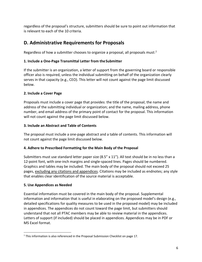regardless of the proposal's structure, submitters should be sure to point out information that is relevant to each of the 10 criteria.

# <span id="page-7-0"></span>**D. Administrative Requirements for Proposals**

Regardless of how a submitter chooses to organize a proposal, all proposals must:<sup>1</sup>

## <span id="page-7-1"></span>**1. Include a One-Page Transmittal Letter from theSubmitter**

If the submitter is an organization, a letter of support from the governing board or responsible officer also is required, unless the individual submitting on behalf of the organization clearly serves in that capacity (e.g., CEO). This letter will not count against the page limit discussed below.

## <span id="page-7-2"></span>**2. Include a Cover Page**

Proposals must include a cover page that provides: the title of the proposal; the name and address of the submitting individual or organization; and the name, mailing address, phone number, and email address of the primary point of contact for the proposal. This information will not count against the page limit discussed below.

## <span id="page-7-3"></span>**3. Include an Abstract and Table of Contents**

The proposal must include a one-page abstract and a table of contents. This information will not count against the page limit discussed below.

## <span id="page-7-4"></span>**4. Adhere to Prescribed Formatting for the Main Body of the Proposal**

Submitters must use standard letter paper size  $(8.5" \times 11")$ . All text should be in no less than a 12-point font, with one-inch margins and single-spaced lines. Pages should be numbered. Graphics and tables may be included. The main body of the proposal should not exceed 25 pages, excluding any citations and appendices. Citations may be included as endnotes; any style that enables clear identification of the source material is acceptable.

## <span id="page-7-5"></span>**5. Use Appendices as Needed**

Essential information must be covered in the main body of the proposal. Supplemental information and information that is useful in elaborating on the proposed model's design (e.g., detailed specifications for quality measures to be used in the proposed model) may be included in appendices. The appendices do not count toward the page limit, but submitters should understand that not all PTAC members may be able to review material in the appendices. Letters of support (if included) should be placed in appendices. Appendices may be in PDF or MS Excel format.

<span id="page-7-6"></span> $\overline{\phantom{a}}$ <sup>1</sup> This information is also referenced in the Proposal Submission Checklist on page 17.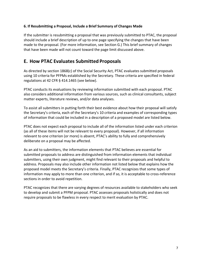#### <span id="page-8-0"></span>**6. If Resubmitting a Proposal, Include a Brief Summary of Changes Made**

If the submitter is resubmitting a proposal that was previously submitted to PTAC, the proposal should include a brief description of up to one page specifying the changes that have been made to the proposal. (For more information, see Section G.) This brief summary of changes that have been made will not count toward the page limit discussed above.

## <span id="page-8-1"></span>**E. How PTAC Evaluates Submitted Proposals**

As directed by section 1868(c) of the Social Security Act, PTAC evaluates submitted proposals using 10 criteria for PFPMs established by the Secretary. These criteria are specified in federal regulations at 42 CFR § 414.1465 (see below).

PTAC conducts its evaluations by reviewing information submitted with each proposal. PTAC also considers additional information from various sources, such as clinical consultants, subject matter experts, literature reviews, and/or data analyses.

To assist all submitters in putting forth their best evidence about how their proposal will satisfy the Secretary's criteria, each of the Secretary's 10 criteria and examples of corresponding types of information that could be included in a description of a proposed model are listed below.

PTAC does not expect each proposal to include all of the information listed under each criterion (as all of these items will not be relevant to every proposal). However, if all information relevant to one criterion (or more) is absent, PTAC's ability to fully and comprehensively deliberate on a proposal may be affected.

As an aid to submitters, the information elements that PTAC believes are essential for submitted proposals to address are distinguished from information elements that individual submitters, using their own judgment, might find relevant to their proposals and helpful to address. Proposals may also include other information not listed below that explains how the proposed model meets the Secretary's criteria. Finally, PTAC recognizes that some types of information may apply to more than one criterion, and if so, it is acceptable to cross-reference sections in order to avoid repetition.

PTAC recognizes that there are varying degrees of resources available to stakeholders who seek to develop and submit a PFPM proposal. PTAC assesses proposals holistically and does not require proposals to be flawless in every respect to merit evaluation by PTAC.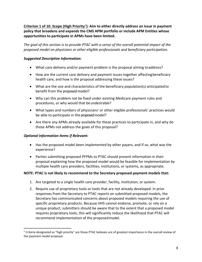**Criterion 1 of 10. Scope (High Priority**[2](#page-9-0)**): Aim to either directly address an issue in payment policy that broadens and expands the CMS APM portfolio or include APM Entities whose opportunities to participate in APMs have been limited.**

*The goal of this section is to provide PTAC with a sense of the overall potential impact of the proposed model on physicians or other eligible professionals and beneficiary participation.*

#### *Suggested Descriptive Information:*

- What care delivery and/or payment problem is the proposal aiming toaddress?
- How are the current care delivery and payment issues together affecting beneficiary health care, and how is the proposal addressing these issues?
- What are the size and characteristics of the beneficiary population(s) anticipated to benefit from the proposed model?
- Why can this problem not be fixed under existing Medicare payment rules and procedures, or why would that be undesirable?
- What types and numbers of physicians' or other eligible professionals' practices would be able to participate in the proposed model?
- Are there any APMs already available for these practices to participate in, and why do those APMs not address the goals of this proposal?

#### *Optional Information Items if Relevant:*

 $\overline{\phantom{a}}$ 

- Has the proposed model been implemented by other payers, and if so, what was the experience?
- Parties submitting proposed PFPMs to PTAC should present information in their proposal explaining how the proposed model would be feasible for implementation by multiple health care providers, facilities, institutions, or systems, as appropriate.

#### **NOTE: PTAC is not likely to recommend to the Secretary proposed payment models that:**

- 1. Are targeted to a single health care provider, facility, institution, orsystem.
- 2. Require use of proprietary tools or tools that are not already developed. In prior responses from the Secretary to PTAC reports on submitted proposed models, the Secretary has communicated concerns about proposed models requiring the use of specific proprietary products. Because HHS cannot endorse, promote, or rely on a unique product, submitters should be aware that to the extent that a proposed model requires proprietary tools, this will significantly reduce the likelihood that PTAC will recommend implementation of the proposedmodel.

<span id="page-9-0"></span> $2$  Criteria designated as "high priority" are those PTAC believes are of greatest importance in the overall review of the payment model proposal.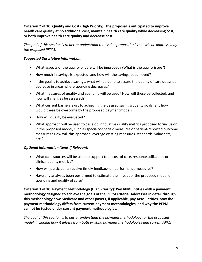**Criterion 2 of 10. Quality and Cost (High Priority): The proposal is anticipated to improve health care quality at no additional cost, maintain health care quality while decreasing cost, or both improve health care quality and decrease cost.**

*The goal of this section is to better understand the "value proposition" that will be addressed by the proposed PFPM.*

#### *Suggested Descriptive Information:*

- What aspects of the quality of care will be improved? (What is the qualityissue?)
- How much in savings is expected, and how will the savings beachieved?
- If the goal is to achieve savings, what will be done to assure the quality of care doesnot decrease in areas where spending decreases?
- What measures of quality and spending will be used? How will these be collected, and how will changes be assessed?
- What current barriers exist to achieving the desired savings/quality goals, and how would these be overcome by the proposed payment model?
- How will quality be evaluated?
- What approach will be used to develop innovative quality metrics proposed for inclusion in the proposed model, such as specialty-specific measures or patient-reported outcome measures? How will this approach leverage existing measures, standards, value sets, etc.?

#### *Optional Information Items if Relevant:*

- What data sources will be used to support total cost of care, resource utilization, or clinical quality metrics?
- How will participants receive timely feedback on performancemeasures?
- Have any analyses been performed to estimate the impact of the proposed model on spending and quality of care?

**Criterion 3 of 10. Payment Methodology (High Priority): Pay APM Entities with a payment methodology designed to achieve the goals of the PFPM criteria. Addresses in detail through this methodology how Medicare and other payers, if applicable, pay APM Entities, how the payment methodology differs from current payment methodologies, and why the PFPM cannot be tested under current payment methodologies.**

*The goal of this section is to better understand the payment methodology for the proposed model, including how it differs from both existing payment methodologies and current APMs.*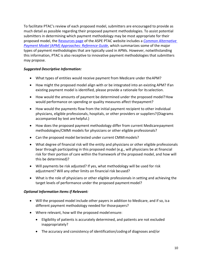To facilitate PTAC's review of each proposed model, submitters are encouraged to provide as much detail as possible regarding their proposed payment methodologies. To assist potential submitters in determining which payment methodology may be most appropriate for their proposed model, the [Resources page](https://aspe.hhs.gov/resources-public-comment-physician-focused-payment-model-technical-advisory-committee) of the ASPE PTAC website includes a *[Common Alternative](https://aspe.hhs.gov/system/files/pdf/261946/Common-APMs-Reference-Guide.pdf)  [Payment Model \(APM\) Approaches: Reference Guide](https://aspe.hhs.gov/system/files/pdf/261946/Common-APMs-Reference-Guide.pdf)*, which summarizes some of the major types of payment methodologies that are typically used in APMs. However, notwithstanding this information, PTAC is also receptive to innovative payment methodologies that submitters may propose.

#### *Suggested Descriptive Information:*

- What types of entities would receive payment from Medicare under theAPM?
- How might the proposed model align with or be integrated into an existing APM? Ifan existing payment model is identified, please provide a rationale for itsselection.
- How would the amounts of payment be determined under the proposed model? How would performance on spending or quality measures affect the payment?
- How would the payments flow from the initial payment recipient to other individual physicians, eligible professionals, hospitals, or other providers or suppliers?(Diagrams accompanied by text are helpful.)
- How does the proposed payment methodology differ from current Medicare payment methodologies/CMMI models for physicians or other eligible professionals?
- Can the proposed model be tested under current CMMI models?
- What degree of financial risk will the entity and physicians or other eligible professionals bear through participating in this proposed model (e.g., will physicians be at financial risk for their portion of care within the framework of the proposed model, and how will this be determined)?
- Will payments be risk adjusted? If yes, what methodology will be used for risk adjustment? Will any other limits on financial risk be used?
- What is the role of physicians or other eligible professionals in setting and achieving the target levels of performance under the proposed payment model?

#### *Optional Information Items if Relevant:*

- Will the proposed model include other payers in addition to Medicare, and if so, isa different payment methodology needed for thosepayers?
- Where relevant, how will the proposed model ensure:
	- Eligibility of patients is accurately determined, and patients are not excluded inappropriately?
	- The accuracy and consistency of identification/coding of diagnoses and/or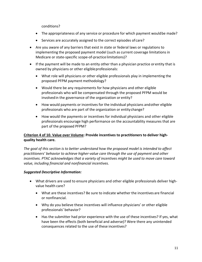conditions?

- The appropriateness of any service or procedure for which payment would be made?
- Services are accurately assigned to the correct episodes of care?
- Are you aware of any barriers that exist in state or federal laws or regulations to implementing the proposed payment model (such as current coverage limitations in Medicare or state-specific scope-of-practice limitations)?
- If the payment will be made to an entity other than a physician practice or entity that is owned by physicians or other eligible professionals:
	- What role will physicians or other eligible professionals play in implementing the proposed PFPM payment methodology?
	- Would there be any requirements for how physicians and other eligible professionals who will be compensated through the proposed PFPM would be involvedin the governance of the organization or entity?
	- How would payments or incentives for the individual physicians and other eligible professionals who are part of the organization or entitychange?
	- How would the payments or incentives for individual physicians and other eligible professionals encourage high performance on the accountability measures that are part of the proposed PFPM?

#### **Criterion 4 of 10. Value over Volume: Provide incentives to practitioners to deliver highquality health care.**

*The goal of this section is to better understand how the proposed model is intended to affect practitioners' behavior to achieve higher-value care through the use of payment and other incentives. PTAC acknowledges that a variety of incentives might be used to move care toward value, including financial and nonfinancial incentives.*

- What drivers are used to ensure physicians and other eligible professionals deliver highvalue health care?
	- What are these incentives? Be sure to indicate whether the incentives are financial or nonfinancial.
	- Why do you believe these incentives will influence physicians' or other eligible professionals' behavior?
	- Has the submitter had prior experience with the use of these incentives? If yes, what have been the effects (both beneficial and adverse)? Were there any unintended consequences related to the use of these incentives?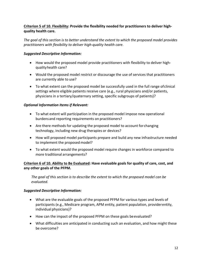#### **Criterion 5 of 10. Flexibility: Provide the flexibility needed for practitioners to deliver highquality health care.**

*The goal of this section is to better understand the extent to which the proposed model provides practitioners with flexibility to deliver high-quality health care.*

#### *Suggested Descriptive Information:*

- How would the proposed model provide practitioners with flexibility to deliver highquality health care?
- Would the proposed model restrict or discourage the use of services that practitioners are currently able to use?
- To what extent can the proposed model be successfully used in the full range ofclinical settings where eligible patients receive care (e.g., rural physicians and/or patients, physicians in a tertiary/quaternary setting, specific subgroups of patients)?

#### *Optional Information Items if Relevant:*

- To what extent will participation in the proposed model impose new operational burdens and reporting requirements on practitioners?
- Are there methods for updating the proposed model to account for changing technology, including new drug therapies or devices?
- How will proposed model participants prepare and build any new infrastructure needed to implement the proposed model?
- To what extent would the proposed model require changes in workforce compared to more traditional arrangements?

#### **Criterion 6 of 10. Ability to Be Evaluated: Have evaluable goals for quality of care, cost, and any other goals of the PFPM.**

*The goal of this section is to describe the extent to which the proposed model can be evaluated.*

- What are the evaluable goals of the proposed PFPM for various types and levels of participants (e.g., Medicare program, APM entity, patient population, provider entity, individual physicians)?
- How can the impact of the proposed PFPM on these goals be evaluated?
- What difficulties are anticipated in conducting such an evaluation, and how might these be overcome?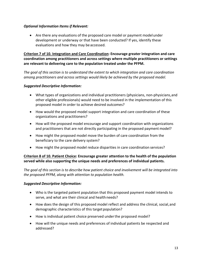#### *Optional Information Items if Relevant:*

• Are there any evaluations of the proposed care model or payment model under development or underway or that have been conducted? If yes, identify these evaluations and how they may be accessed.

**Criterion 7 of 10. Integration and Care Coordination: Encourage greater integration and care coordination among practitioners and across settings where multiple practitioners or settings are relevant to delivering care to the population treated under the PFPM.**

*The goal of this section is to understand the extent to which integration and care coordination among practitioners and across settings would likely be achieved by the proposed model.*

#### *Suggested Descriptive Information:*

- What types of organizations and individual practitioners (physicians, non-physicians, and other eligible professionals) would need to be involved in the implementation of this proposed model in order to achieve desired outcomes?
- How would the proposed model support integration and care coordination of these organizations and practitioners?
- How will the proposed model encourage and support coordination with organizations and practitioners that are not directly participating in the proposed payment model?
- How might the proposed model move the burden of care coordination from the beneficiary to the care delivery system?
- How might the proposed model reduce disparities in care coordination services?

#### **Criterion 8 of 10. Patient Choice: Encourage greater attention to the health of the population served while also supporting the unique needs and preferences of individual patients.**

*The goal of this section is to describe how patient choice and involvement will be integrated into the proposed PFPM, along with attention to population health.*

- Who is the targeted patient population that this proposed payment model intends to serve, and what are their clinical and health needs?
- How does the design of this proposed model reflect and address the clinical, social, and demographic characteristics of this target population?
- How is individual patient choice preserved under the proposed model?
- How will the unique needs and preferences of individual patients be respected and addressed?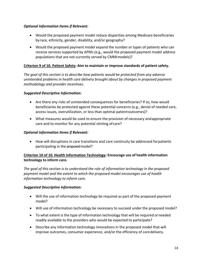#### *Optional Information Items if Relevant:*

- Would the proposed payment model reduce disparities among Medicare beneficiaries by race, ethnicity, gender, disability, and/or geography?
- Would the proposed payment model expand the number or types of patients who can receive services supported by APMs (e.g., would the proposed payment model address populations that are not currently served by CMMImodels)?

#### **Criterion 9 of 10. Patient Safety: Aim to maintain or improve standards of patient safety.**

*The goal of this section is to describe how patients would be protected from any adverse unintended problems in health care delivery brought about by changes in proposed payment methodology and provider incentives.*

#### *Suggested Descriptive Information:*

- Are there any risks of unintended consequences for beneficiaries? If so, how would beneficiaries be protected against these potential concerns (e.g., denial of needed care, access issues, overutilization, or less than optimal patient outcomes)?
- What measures would be used to ensure the provision of necessary andappropriate care and to monitor for any potential stinting of care?

#### *Optional Information Items if Relevant:*

• How will disruptions in care transitions and care continuity be addressed for patients participating in the proposed model?

#### **Criterion 10 of 10. Health Information Technology: Encourage use of health information technology to inform care.**

*The goal of this section is to understand the role of information technology in the proposed payment model and the extent to which the proposed model encourages use of health information technology to inform care.*

- Will the use of information technology be required as part of the proposed payment model?
- Will use of information technology be necessary to succeed under the proposed model?
- To what extent is the type of information technology that will be required or needed readily available to the providers who would be expected to participate?
- Describe any information technology innovations in the proposed model that will improve outcomes, consumer experience, and/or the efficiency of caredelivery.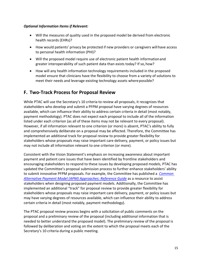#### *Optional Information Items if Relevant:*

- Will the measures of quality used in the proposed model be derived from electronic health records (EHRs)?
- How would patients' privacy be protected if new providers or caregivers will have access to personal health information (PHI)?
- Will the proposed model require use of electronic patient health information and greater interoperability of such patient data than exists today? If so, how?
- How will any health information technology requirements included in the proposed model ensure that clinicians have the flexibility to choose from a variety of solutions to meet their needs and leverage existing technology assets where possible?

# <span id="page-16-0"></span>**F. Two-Track Process for Proposal Review**

While PTAC will use the Secretary's 10 criteria to review all proposals, it recognizes that stakeholders who develop and submit a PFPM proposal have varying degrees of resources available, which can influence their ability to address certain criteria in detail (most notably, payment methodology). PTAC does not expect each proposal to include all of the information listed under each criterion (as all of these items may not be relevant to every proposal). However, if all information relevant to one criterion (or more) is absent, PTAC's ability to fully and comprehensively deliberate on a proposal may be affected. Therefore, the Committee has implemented an additional track for proposal review to provide greater flexibility for stakeholders whose proposals may raise important care delivery, payment, or policy issues but may not include all information relevant to one criterion (or more).

Consistent with the Vision Statement's emphasis on increasing awareness about important payment and patient care issues that have been identified by frontline stakeholders and encouraging stakeholders to respond to these issues by developing proposed models, PTAC has updated the Committee's proposal submission process to further enhance stakeholders' ability to submit innovative PFPM proposals. For example, the Committee has published a *[Common](https://aspe.hhs.gov/system/files/pdf/261946/Common-APMs-Reference-Guide.pdf)  [Alternative Payment Model \(APM\) Approaches: Reference Guide](https://aspe.hhs.gov/system/files/pdf/261946/Common-APMs-Reference-Guide.pdf)* as a resource to assist stakeholders when designing proposed payment models. Additionally, the Committee has implemented an additional "track" for proposal review to provide greater flexibility for stakeholders whose proposals may raise important care delivery, payment, or policy issues but may have varying degrees of resources available, which can influence their ability to address certain criteria in detail (most notably, payment methodology).

The PTAC proposal review process begins with a solicitation of public comments on the proposal and a preliminary review of the proposal (including additional information that is needed to better understand the proposed model). The preliminary review of the proposal is followed by deliberation and voting on the extent to which the proposal meets each of the Secretary's 10 criteria during a public meeting.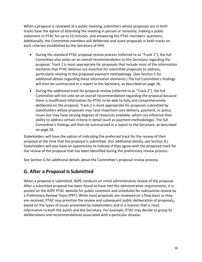When a proposal is reviewed at a public meeting, submitters whose proposals are in both tracks have the option of attending the meeting in person or remotely; making a public statement to PTAC for up to 10 minutes; and answering the PTAC members' questions. Additionally, the Committee members will deliberate and score proposals in both tracks on each criterion established by the Secretary of HHS.

- During the standard PTAC proposal review process (referred to as "Track 1"), the full Committee also votes on an overall recommendation to the Secretary regarding the proposal. Track 1 is most appropriate for proposals that include most of the information elements that PTAC believes are essential for submitted proposals to address, particularly relating to the proposed payment methodology. (See Section E for additional details regarding these information elements.) The full Committee's findings will then be summarized in a report to the Secretary, as described on page 26.
- During the additional track for proposal review (referred to as "Track 2"), the full Committee will not vote on an overall recommendation regarding the proposal because there is insufficient information for PTAC to be able to fully and comprehensively deliberate on the proposal. Track 2 is most appropriate for proposals submitted by stakeholders whose proposals may raise important care delivery, payment, or policy issues but may have varying degrees of resources available, which can influence their ability to address certain criteria in detail (such as payment methodology). The full Committee's findings will then be summarized in a report to the Secretary, as described on page 26.

Stakeholders will have the option of indicating the preferred track for the review of their proposal at the time that the proposal is submitted. (For additional details, see Section B.) Stakeholders will also have an opportunity to indicate if they agree with the proposed track for the review of the proposal that has been identified during the preliminary review process.

See Section G for additional details about the Committee's proposal review process.

## <span id="page-17-0"></span>**G. After a Proposal Is Submitted**

When a proposal is submitted, ASPE conducts an initial administrative review of the proposal. After a submitted proposal has been found to have met the administrative requirements, it is posted on the ASPE PTAC website for public comment and scheduled for substantive review by a Preliminary Review Team (PRT). While most proposals are reviewed on a flow basis as they are received, PTAC may prioritize the review and subsequent public deliberation of proposals**,**  based on the types of issues presented by stakeholders and in a manner that is most informative to both the public and the Secretary. For example, PTAC may decide to group its deliberations and recommendations associated with a particular disease.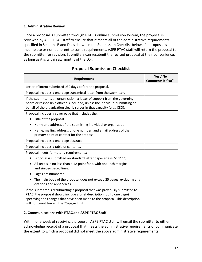#### <span id="page-18-0"></span>**1. Administrative Review**

Once a proposal is submitted through PTAC's online submission system, the proposal is reviewed by ASPE PTAC staff to ensure that it meets all of the administrative requirements specified in Sections B and D, as shown in the Submission Checklist below. If a proposal is incomplete or non-adherent to some requirements, ASPE PTAC staff will return the proposal to the submitter for revision. Submitters can resubmit the revised proposal at their convenience, as long as it is within six months of the LOI.

## **Proposal Submission Checklist**

| Requirement                                                                                                                                                                                                                                                                        | Yes / No<br><b>Comments if "No"</b> |
|------------------------------------------------------------------------------------------------------------------------------------------------------------------------------------------------------------------------------------------------------------------------------------|-------------------------------------|
| Letter of intent submitted ≥30 days before the proposal.                                                                                                                                                                                                                           |                                     |
| Proposal includes a one-page transmittal letter from the submitter.                                                                                                                                                                                                                |                                     |
| If the submitter is an organization, a letter of support from the governing<br>board or responsible officer is included, unless the individual submitting on<br>behalf of the organization clearly serves in that capacity (e.g., CEO).                                            |                                     |
| Proposal includes a cover page that includes the:                                                                                                                                                                                                                                  |                                     |
| Title of the proposal<br>$\bullet$                                                                                                                                                                                                                                                 |                                     |
| Name and address of the submitting individual or organization                                                                                                                                                                                                                      |                                     |
| Name, mailing address, phone number, and email address of the<br>primary point of contact for the proposal                                                                                                                                                                         |                                     |
| Proposal includes a one-page abstract.                                                                                                                                                                                                                                             |                                     |
| Proposal includes a table of contents.                                                                                                                                                                                                                                             |                                     |
| Proposal meets formatting requirements:                                                                                                                                                                                                                                            |                                     |
| Proposal is submitted on standard letter paper size (8.5" x11").                                                                                                                                                                                                                   |                                     |
| All text is in no less than a 12-point font, with one-inch margins<br>and single-spaced lines.                                                                                                                                                                                     |                                     |
| Pages are numbered.                                                                                                                                                                                                                                                                |                                     |
| The main body of the proposal does not exceed 25 pages, excluding any<br>citations and appendices.                                                                                                                                                                                 |                                     |
| If the submitter is resubmitting a proposal that was previously submitted to<br>PTAC, the proposal should include a brief description (up to one page)<br>specifying the changes that have been made to the proposal. This description<br>will not count toward the 25-page limit. |                                     |

#### <span id="page-18-1"></span>**2. Communications with PTAC and ASPE PTAC Staff**

Within one week of receiving a proposal, ASPE PTAC staff will email the submitter to either acknowledge receipt of a proposal that meets the administrative requirements or communicate the extent to which a proposal did not meet the above administrative requirements.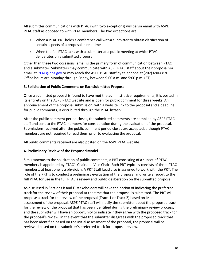All submitter communications with PTAC (with two exceptions) will be via email with ASPE PTAC staff as opposed to with PTAC members. The two exceptions are:

- a. When a PTAC PRT holds a conference call with a submitter to obtain clarification of certain aspects of a proposal in real time
- b. When the full PTAC talks with a submitter at a public meeting at which PTAC deliberates on a submitted proposal

Other than these two occasions, email is the primary form of communication between PTAC and a submitter. Submitters may communicate with ASPE PTAC staff about their proposal via email at [PTAC@hhs.gov o](mailto:PTAC@hhs.gov)r may reach the ASPE PTAC staff by telephone at (202) 690-6870. Office hours are Monday through Friday, between 9:00 a.m. and 5:00 p.m. (ET).

#### <span id="page-19-0"></span>**3. Solicitation of Public Comments on Each Submitted Proposal**

Once a submitted proposal is found to have met the administrative requirements, it is posted in its entirety on the ASPE PTAC [website a](https://aspe.hhs.gov/proposal-submissions-physician-focused-payment-model-technical-advisory-committee)nd is open for public comment for three weeks. An announcement of the proposal submission, with a website link to the proposal and a deadline for public comments, is distributed through the PTAC [listserv.](https://list.nih.gov/cgi-bin/wa.exe?SUBED1=PTAC&%3BA=1)

After the public comment period closes, the submitted comments are compiled by ASPE PTAC staff and sent to the PTAC members for consideration during the evaluation of the proposal. Submissions received after the public comment period closes are accepted, although PTAC members are not required to read them prior to evaluating the proposal.

All public comments received are also posted on the ASPE PTA[C website.](https://aspe.hhs.gov/proposal-submissions-physician-focused-payment-model-technical-advisory-committee)

#### <span id="page-19-1"></span>**4. Preliminary Review of the ProposedModel**

Simultaneous to the solicitation of public comments, a PRT consisting of a subset of PTAC members is appointed by PTAC's Chair and Vice Chair. Each PRT typically consists of three PTAC members; at least one is a physician. A PRT Staff Lead also is assigned to work with the PRT. The role of the PRT is to conduct a preliminary evaluation of the proposal and write a report to the full PTAC for use in the full PTAC's review and public deliberation on the submitted proposal.

As discussed in Sections B and F, stakeholders will have the option of indicating the preferred track for the review of their proposal at the time that the proposal is submitted. The PRT will propose a track for the review of the proposal (Track 1 or Track 2) based on its initial assessment of the proposal. ASPE PTAC staff will notify the submitter about the proposed track for the review of the proposal that has been identified during the preliminary review process, and the submitter will have an opportunity to indicate if they agree with the proposed track for the proposal's review. In the event that the submitter disagrees with the proposed track that has been identified based on the initial assessment of the proposal, the proposal will be reviewed based on the submitter's preferred track for proposal review.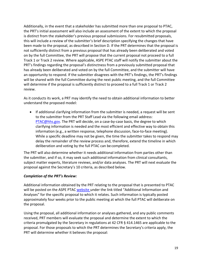Additionally, in the event that a stakeholder has submitted more than one proposal to PTAC, the PRT's initial assessment will also include an assessment of the extent to which the proposal is distinct from the stakeholder's previous proposal submissions. For resubmitted proposals, this will include a review of the submitter's brief description specifying the changes that have been made to the proposal, as described in Section D. If the PRT determines that the proposal is not sufficiently distinct from a previous proposal that has already been deliberated and voted on by the full Committee, the PRT will propose that the current proposal not proceed to a full Track 1 or Track 2 review. Where applicable, ASPE PTAC staff will notify the submitter about the PRT's findings regarding the proposal's distinctness from a previously submitted proposal that has already been deliberated and voted on by the full Committee, and the submitter will have an opportunity to respond. If the submitter disagrees with the PRT's findings, the PRT's findings will be shared with the full Committee during the next public meeting, and the full Committee will determine if the proposal is sufficiently distinct to proceed to a full Track 1 or Track 2 review.

As it conducts its work, a PRT may identify the need to obtain additional information to better understand the proposed model:

• If additional clarifying information from the submitter is needed, a request will be sent to the submitter from the PRT Staff Lead via the following email address: [PTAC@hhs.gov. T](mailto:PTAC@hhs.gov)he PRT will decide, on a case-by-case basis, the degree to which clarifying information is needed and the most efficient and effective way to obtain this information (e.g., a written response, telephone discussion, face-to-face meeting). While a specific deadline may not be given, the time the submitter takes to respond may delay the remainder of the review process and, therefore, extend the timeline in which deliberation and voting by the full PTAC can be completed.

The PRT will also determine whether it needs additional information from parties other than the submitter, and if so, it may seek such additional information from clinical consultants, subject matter experts, literature reviews, and/or data analyses. The PRT will next evaluate the proposal against the Secretary's 10 criteria, as described below.

#### *Completion of the PRT's Review:*

Additional information obtained by the PRT relating to the proposal that is presented to PTAC will be posted on the ASPE PTAC [website u](https://aspe.hhs.gov/proposal-submissions-physician-focused-payment-model-technical-advisory-committee)nder the link titled "Additional Information and Analyses" for the specific proposal to which it relates. Such information is typically posted approximately four weeks prior to the public meeting at which the full PTAC will deliberate on the proposal.

Using the proposal, all additional information or analyses gathered, and any public comments received, PRT members will evaluate the proposal and determine the extent to which the criteria promulgated by the Secretary in regulations at 42 CFR § 414.1465 are applicable to the proposal. For those proposals to which the PRT determines the Secretary's criteria apply, the PRT will determine whether it believes the proposal: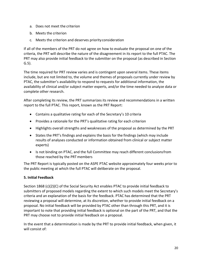- a. Does not meet the criterion
- b. Meets the criterion
- c. Meets the criterion and deserves priorityconsideration

If all of the members of the PRT do not agree on how to evaluate the proposal on one of the criteria, the PRT will describe the nature of the disagreement in its report to the full PTAC. The PRT may also provide initial feedback to the submitter on the proposal (as described in Section G.5).

The time required for PRT review varies and is contingent upon several items. These items include, but are not limited to, the volume and themes of proposals currently under review by PTAC, the submitter's availability to respond to requests for additional information, the availability of clinical and/or subject matter experts, and/or the time needed to analyze data or complete other research.

After completing its review, the PRT summarizes its review and recommendations in a written report to the full PTAC. This report, known as the PRT Report:

- Contains a qualitative rating for each of the Secretary's 10 criteria
- Provides a rationale for the PRT's qualitative rating for each criterion
- Highlights overall strengths and weaknesses of the proposal as determined by the PRT
- States the PRT's findings and explains the basis for the findings (which may include results of analyses conducted or information obtained from clinical or subject matter experts)
- Is not binding on PTAC, and the full Committee may reach different conclusionsfrom those reached by the PRTmembers

The PRT Report is typically posted on the ASPE PTAC [website](https://aspe.hhs.gov/proposal-submissions-physician-focused-payment-model-technical-advisory-committee) approximately four weeks prior to the public meeting at which the full PTAC will deliberate on the proposal.

#### <span id="page-21-0"></span>**5. Initial Feedback**

Section 1868 (c)(2)(C) of the Social Security Act enables PTAC to provide initial feedback to submitters of proposed models regarding the extent to which such models meet the Secretary's criteria and an explanation of the basis for the feedback. PTAC has determined that the PRT reviewing a proposal will determine, at its discretion, whether to provide initial feedback on a proposal. No initial feedback will be provided by PTAC other than through this PRT, and it is important to note that providing initial feedback is optional on the part of the PRT, and that the PRT may choose not to provide initial feedback on a proposal.

In the event that a determination is made by the PRT to provide initial feedback, when given, it will consist of: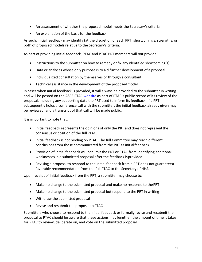- An assessment of whether the proposed model meets the Secretary's criteria
- An explanation of the basis for the feedback

As such, initial feedback may identify (at the discretion of each PRT) shortcomings, strengths, or both of proposed models relative to the Secretary's criteria.

As part of providing initial feedback, PTAC and PTAC PRT members will *not* provide:

- Instructions to the submitter on how to remedy or fix any identified shortcoming(s)
- Data or analyses whose only purpose is to aid further development of a proposal
- Individualized consultation by themselves or through a consultant
- Technical assistance in the development of the proposedmodel

In cases when initial feedback is provided, it will always be provided to the submitter in writing and will be posted on the ASPE PTAC [website a](https://aspe.hhs.gov/proposal-submissions-physician-focused-payment-model-technical-advisory-committee)s part of PTAC's public record of its review of the proposal, including any supporting data the PRT used to inform its feedback. If a PRT subsequently holds a conference call with the submitter, the initial feedback already given may be reviewed, and a transcript of that call will be made public.

It is important to note that:

- Initial feedback represents the opinions of only the PRT and does not represent the consensus or position of the full PTAC.
- Initial feedback is not binding on PTAC. The full Committee may reach different conclusions from those communicated from the PRT as initial feedback.
- Provision of initial feedback will not limit the PRT or PTAC from identifying additional weaknesses in a submitted proposal after the feedback is provided.
- Revising a proposal to respond to the initial feedback from a PRT does not guaranteea favorable recommendation from the full PTAC to the Secretary of HHS.

Upon receipt of initial feedback from the PRT, a submitter may choose to:

- Make no change to the submitted proposal and make no response to thePRT
- Make no change to the submitted proposal but respond to the PRT in writing
- Withdraw the submitted proposal
- Revise and resubmit the proposal to PTAC

Submitters who choose to respond to the initial feedback or formally revise and resubmit their proposal to PTAC should be aware that these actions may lengthen the amount of time it takes for PTAC to review, deliberate on, and vote on the submitted proposal.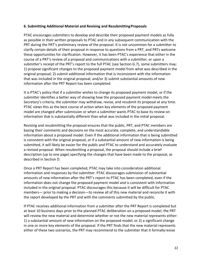#### <span id="page-23-0"></span>**6. Submitting Additional Material and Revising and ResubmittingProposals**

PTAC encourages submitters to develop and describe their proposed payment models as fully as possible in their written proposals to PTAC and in any subsequent communication with the PRT during the PRT's preliminary review of the proposal. It is not uncommon for a submitter to clarify certain details of their proposal in response to questions from a PRT, and PRTs welcome these opportunities for clarification. However, it has been PTAC's experience that either in the course of a PRT's review of a proposal and communications with a submitter, or upon a submitter's receipt of the PRT's report to the full PTAC (see Section G.7), some submitters may: 1) propose significant changes to the proposed payment model from what was described in the original proposal; 2) submit additional information that is inconsistent with the information that was included in the original proposal; and/or 3) submit substantial amounts of new information after the PRT Report has been completed.

It is PTAC's policy that if a submitter wishes to change its proposed payment model, or if the submitter identifies a better way of showing how the proposed payment model meets the Secretary's criteria, the submitter may withdraw, revise, and resubmit its proposal at any time. PTAC views this as the best course of action when key elements of the proposed payment model are changed after submission or when a submitter wants PTAC to base its review on information that is substantially different than what was included in the initial proposal.

Revising and resubmitting the proposal ensures that the public, PRT, and PTAC members are basing their comments and decisions on the most accurate, complete, and understandable information about a proposed model. Even if the additional information that is being submitted is consistent with the original proposal, or if a substantial amount of new information is being submitted, it will likely be easier for the public and PTAC to understand and accurately evaluate a revised proposal. When resubmitting a proposal, the proposal should include a brief description (up to one page) specifying the changes that have been made to the proposal, as described in Section D.

Once a PRT Report has been completed, PTAC may take into consideration additional information and responses by the submitter. PTAC discourages submission of substantial amounts of new information after the PRT's report to PTAC has been completed, even if the information does not change the proposed payment model and is consistent with information included in the original proposal. PTAC discourages this because it will be difficult for PTAC members— prior to making a decision—to review all of this new material and reconcile it with the report developed by the PRT and with the comments submitted by the public.

If PTAC receives additional information from a submitter after the PRT Report is completed but at least 10 business days prior to the planned PTAC deliberation on a proposed model, the PRT will review the new material and determine whether or not the new material represents either: 1) a substantial amount of new information on the proposed model; or 2) a significant change in one or more key elements of the proposal. If the PRT finds that the new material represents either of these two scenarios, the PRT may recommend to the submitter that it formally revise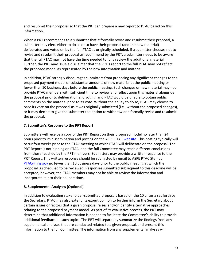and resubmit their proposal so that the PRT can prepare a new report to PTAC based on this information.

When a PRT recommends to a submitter that it formally revise and resubmit their proposal, a submitter may elect either to do so or to have their proposal (and the new material) deliberated and voted on by the full PTAC as originally scheduled. If a submitter chooses not to revise and resubmit their proposal as recommend by the PRT, a submitter needs to be aware that the full PTAC may not have the time needed to fully review the additional material. Further, the PRT may issue a disclaimer that the PRT's report to the full PTAC may not reflect the proposed model as represented by the new information and material.

In addition, PTAC strongly discourages submitters from proposing any significant changes to the proposed payment model or substantial amounts of new material at the public meeting or fewer than 10 business days before the public meeting. Such changes or new material may not provide PTAC members with sufficient time to review and reflect upon this material alongside the proposal prior to deliberation and voting, and PTAC would be unable to obtain public comments on the material prior to its vote. Without the ability to do so, PTAC may choose to base its vote on the proposal as it was originally submitted (i.e., without the proposed changes), or it may decide to give the submitter the option to withdraw and formally revise and resubmit the proposal.

#### <span id="page-24-0"></span>**7. Submitter's Response to the PRT Report**

Submitters will receive a copy of the PRT Report on their proposed model no later than 24 hours prior to its dissemination and posting on the ASPE PTAC [website.](https://aspe.hhs.gov/proposal-submissions-physician-focused-payment-model-technical-advisory-committee) This posting typically will occur four weeks prior to the PTAC meeting at which PTAC will deliberate on the proposal. The PRT Report is not binding on PTAC, and the full Committee may reach different conclusions from those reached by the PRT members. Submitters may provide a written response to the PRT Report. This written response should be submitted by email to ASPE PTAC Staff at [PTAC@hhs.gov n](mailto:PTAC@hhs.gov)o fewer than 10 business days prior to the public meeting at which the proposal is scheduled to be reviewed. Responses submitted subsequent to this deadline will be accepted; however, the PTAC members may not be able to review the information and incorporate it into their deliberations.

#### <span id="page-24-1"></span>**8. Supplemental Analyses (Optional)**

In addition to evaluating stakeholder-submitted proposals based on the 10 criteria set forth by the Secretary, PTAC may also extend its expert opinion to further inform the Secretary about certain issues or factors that a given proposal raises and/or identify alternative approaches relating to the proposed payment model. As part of its evaluative process, the PRT may determine that additional information is needed to facilitate the Committee's ability to provide additional feedback on such topics. The PRT will separately summarize the findings from any supplemental analyses that are conducted related to a given proposal, and present this information to the full Committee. The information from any supplemental analyses will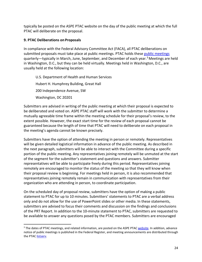typically be posted on the ASPE PTAC website on the day of the public meeting at which the full PTAC will deliberate on the proposal.

#### <span id="page-25-0"></span>**9. PTAC Deliberations on Proposals**

l

In compliance with the Federal Advisory Committee Act (FACA), all PTAC deliberations on submitted proposals must take place at [public meetings](https://aspe.hhs.gov/meetings-physician-focused-payment-model-technical-advisory-committee). PTAC holds these public meetings quarterly—typically in March, June, September, and December of each year.[3](#page-25-2) [M](#page-25-1)eetings are held in Washington, D.C., but they can be held virtually. Meetings held in Washington, D.C., are usually held at the following location:

<span id="page-25-1"></span>U.S. Department of Health and Human Services Hubert H. Humphrey Building, Great Hall 200 Independence Avenue, SW Washington, DC 20201

Submitters are advised in writing of the public meeting at which their proposal is expected to be deliberated and voted on. ASPE PTAC staff will work with the submitter to determine a mutually agreeable time frame within the meeting schedule for their proposal's review, to the extent possible. However, the exact start time for the review of each proposal cannot be guaranteed because the length of time that PTAC will need to deliberate on each proposal in the meeting's agenda cannot be known precisely.

Submitters have the option of attending the meeting in person or remotely. Representatives will be given detailed logistical information in advance of the public meeting. As described in the next paragraph, submitters will be able to interact with the Committee during a specific portion of the public meeting. Any representatives joining remotely will be unmuted at the start of the segment for the submitter's statement and questions and answers. Submitter representatives will be able to participate freely during this period. Representatives joining remotely are encouraged to monitor the status of the meeting so that they will know when their proposal review is beginning. For meetings held in person, it is also recommended that representatives joining remotely remain in communication with representatives from their organization who are attending in person, to coordinate participation.

On the scheduled day of proposal review, submitters have the option of making a public statement to PTAC for up to 10 minutes. Submitters' statements to PTAC are a verbal address only and do not allow for the use of PowerPoint slides or other media. In these statements, submitters are advised to focus their comments and discussion on the findings and conclusions of the PRT Report. In addition to the 10-minute statement to PTAC, submitters are requested to be available to answer any questions posed by the PTAC members. Submitters are encouraged

<span id="page-25-2"></span><sup>&</sup>lt;sup>3</sup> The dates of PTAC meetings, and related information, are posted on the ASPE PTAC [website. I](https://aspe.hhs.gov/meetings-physician-focused-payment-model-technical-advisory-committee)n addition, advance notice of public meetings is published in the Federal Register, and meeting announcements are distributed through the PTAC [listserv.](https://list.nih.gov/cgi-bin/wa.exe?SUBED1=PTAC&%3BA=1)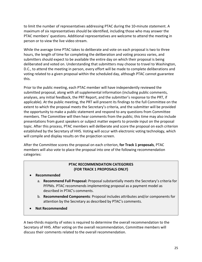to limit the number of representatives addressing PTAC during the 10-minute statement. A maximum of six representatives should be identified, including those who may answer the PTAC members' questions. Additional representatives are welcome to attend the meeting in person or to view the live video stream.

While the average time PTAC takes to deliberate and vote on each proposal is two to three hours, the length of time for completing the deliberation and voting process varies, and submitters should expect to be available the entire day on which their proposal is being deliberated and voted on. Understanding that submitters may choose to travel to Washington, D.C., to attend the meeting in person, every effort will be made to complete deliberations and voting related to a given proposal within the scheduled day, although PTAC cannot guarantee this.

Prior to the public meeting, each PTAC member will have independently reviewed the submitted proposal, along with all supplemental information (including public comments, analyses, any initial feedback, the PRT Report, and the submitter's response to the PRT, if applicable). At the public meeting, the PRT will present its findings to the full Committee on the extent to which the proposal meets the Secretary's criteria, and the submitter will be provided the opportunity to make a public statement and respond to any questions from Committee members. The Committee will then hear comments from the public; this time may also include presentations from guest speakers or subject matter experts to provide input on the proposal topic. After this process, PTAC members will deliberate and score the proposal on each criterion established by the Secretary of HHS. Voting will occur with electronic voting technology, which will compile and display results on the projection screen.

After the Committee scores the proposal on each criterion, **for Track 1 proposals**, PTAC members will also vote to place the proposal into one of the following recommendation categories:

#### **PTAC RECOMMENDATION CATEGORIES (FOR TRACK 1 PROPOSALS ONLY)**

- **Recommended**
	- a. **Recommend Full Proposal:** Proposal substantially meets the Secretary's criteria for PFPMs. PTAC recommends implementing proposal as a payment model as described in PTAC's comments.
	- b. **Recommended Components**: Proposal includes attributes and/or components for attention by the Secretary as described by PTAC's comments.
- **Not Recommended**

A two-thirds majority of votes is required to determine the overall recommendation to the Secretary of HHS. After voting on the overall recommendation, Committee members will discuss their comments related to the overall recommendation.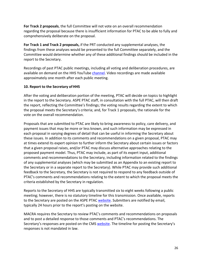**For Track 2 proposals**, the full Committee will not vote on an overall recommendation regarding the proposal because there is insufficient information for PTAC to be able to fully and comprehensively deliberate on the proposal.

**For Track 1 and Track 2 proposals,** if the PRT conducted any supplemental analyses, the findings from these analyses would be presented to the full Committee separately, and the Committee would determine whether any of these additional findings should be included in the report to the Secretary.

Recordings of past PTAC public meetings, including all voting and deliberation procedures, are available on demand on the HHS YouTube [channel. V](https://www.youtube.com/user/USGOVHHS/playlists)ideo recordings are made available approximately one month after each public meeting.

#### <span id="page-27-0"></span>**10. Report to the Secretary ofHHS**

After the voting and deliberation portion of the meeting, PTAC will decide on topics to highlight in the report to the Secretary. ASPE PTAC staff, in consultation with the full PTAC, will then draft the report, reflecting the Committee's findings; the voting results regarding the extent to which the proposal meets the Secretary's criteria; and, for Track 1 proposals, the rationale for the vote on the overall recommendation.

Proposals that are submitted to PTAC are likely to bring awareness to policy, care delivery, and payment issues that may be more or less known, and such information may be expressed in each proposal in varying degrees of detail that can be useful in informing the Secretary about these issues. In addition to its comments and recommendations on a given proposal, PTAC may at times extend its expert opinion to further inform the Secretary about certain issues or factors that a given proposal raises, and/or PTAC may discuss alternative approaches relating to the proposed payment model. Thus, PTAC may include, as part of its expert input, additional comments and recommendations to the Secretary, including information related to the findings of any supplemental analyses (which may be submitted as an Appendix to an existing report to the Secretary or in a separate report to the Secretary). While PTAC may provide such additional feedback to the Secretary, the Secretary is not required to respond to any feedback outside of PTAC's comments and recommendations relating to the extent to which the proposal meets the criteria established by the Secretary in regulation.

Reports to the Secretary of HHS are typically transmitted six to eight weeks following a public meeting; however, there is no statutory timeline for this transmission. Once available, reports to the Secretary are posted on the ASPE PTAC [website.](https://aspe.hhs.gov/proposal-submissions-physician-focused-payment-model-technical-advisory-committee) Submitters are notified by email, typically 24 hours prior to the report's posting on the website.

MACRA requires the Secretary to review PTAC's comments and recommendations on proposals and to post a detailed response to those comments and PTAC's recommendations. The Secretary's responses are posted on the CMS [website.](https://innovation.cms.gov/initiatives/pfpms/) The timeline for posting the Secretary's responses is not mandated in law.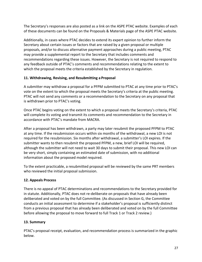The Secretary's responses are also posted as a link on the ASPE PTAC [website.](https://aspe.hhs.gov/proposal-submissions-physician-focused-payment-model-technical-advisory-committee) Examples of each of these documents can be found on the Proposals & Materials page of the ASPE PTAC website.

Additionally, in cases where PTAC decides to extend its expert opinion to further inform the Secretary about certain issues or factors that are raised by a given proposal or multiple proposals, and/or to discuss alternative payment approaches during a public meeting, PTAC may provide a supplemental report to the Secretary that includes comments and recommendations regarding these issues. However, the Secretary is not required to respond to any feedback outside of PTAC's comments and recommendations relating to the extent to which the proposal meets the criteria established by the Secretary in regulation.

#### <span id="page-28-0"></span>**11. Withdrawing, Revising, and Resubmitting a Proposal**

A submitter may withdraw a proposal for a PFPM submitted to PTAC at any time prior to PTAC's vote on the extent to which the proposal meets the Secretary's criteria at the public meeting. PTAC will not send any comments or a recommendation to the Secretary on any proposal that is withdrawn prior to PTAC's voting.

Once PTAC begins voting on the extent to which a proposal meets the Secretary's criteria, PTAC will complete its voting and transmit its comments and recommendation to the Secretary in accordance with PTAC's mandate from MACRA.

After a proposal has been withdrawn, a party may later resubmit the proposed PFPM to PTAC at any time. If the resubmission occurs within six months of the withdrawal, a new LOI is not required for the resubmission. Six months after withdrawal, a submitter's LOI expires. If the submitter wants to then resubmit the proposed PFPM, a new, brief LOI will be required, although the submitter will not need to wait 30 days to submit their proposal. This new LOI can be very short, simply containing an estimated date of submission, with no additional information about the proposed model required.

To the extent practicable, a resubmitted proposal will be reviewed by the same PRT members who reviewed the initial proposal submission.

## <span id="page-28-1"></span>**12. Appeals Process**

There is no appeal of PTAC determinations and recommendations to the Secretary provided for in statute. Additionally, PTAC does not re-deliberate on proposals that have already been deliberated and voted on by the full Committee. (As discussed in Section G, the Committee conducts an initial assessment to determine if a stakeholder's proposal is sufficiently distinct from a previous proposal that has already been deliberated and voted on by the full Committee before allowing the proposal to move forward to full Track 1 or Track 2 review.)

## <span id="page-28-2"></span>**13. Summary**

PTAC's proposal receipt, evaluation, and recommendation process is summarized in the graphic below.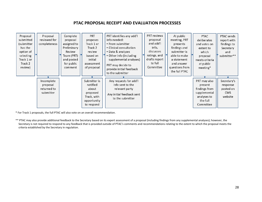#### **PTAC PROPOSAL RECEIPT AND EVALUATION PROCESSES**



\* For Track 1 proposals, the full PTAC will also vote on an overall recommendation.

\*\* PTAC may also provide additional feedback to the Secretary based on its expert assessment of a proposal (including findings from any supplemental analyses); however, the Secretary is not required to respond to any feedback that is provided outside of PTAC's comments and recommendations relating to the extent to which the proposal meets the criteria established by the Secretary in regulation.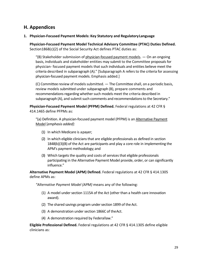# <span id="page-30-0"></span>**H. Appendices**

#### <span id="page-30-1"></span>**1. Physician-Focused Payment Models: Key Statutory and RegulatoryLanguage**

**Physician-Focused Payment Model Technical Advisory Committee (PTAC) Duties Defined.** Section1868(c)(2) of the Social Security Act defines PTAC duties as:

"(B) Stakeholder submission of physician-focused payment models.  $-$  On an ongoing basis, individuals and stakeholder entities may submit to the Committee proposals for physician- focused payment models that such individuals and entities believe meet the criteria described in subparagraph (A)." [Subparagraph A refers to the criteria for assessing physician-focused payment models. Emphasis added.]

(C) Committee review of models submitted. — The Committee shall, on a periodic basis, review models submitted under subparagraph (B), prepare comments and recommendations regarding whether such models meet the criteria described in subparagraph (A), and submit such comments and recommendations to the Secretary."

**Physician-Focused Payment Model (PFPM) Defined.** Federal regulations at 42 CFR § 414.1465 define PFPMs as:

"(a) Definition. A physician-focused payment model (PFPM) is an Alternative Payment Model [*emphasis added]*:

- (1) In which Medicare is apayer;
- (2) In which eligible clinicians that are eligible professionals as defined in section 1848(k)(3)(B) of the Act are participants and play a core role in implementing the APM's payment methodology;and
- (3) Which targets the quality and costs of services that eligible professionals participating in the Alternative Payment Model provide, order, or can significantly influence."

**Alternative Payment Model (APM) Defined.** Federal regulations at 42 CFR § 414.1305 define APMs as:

*"Alternative Payment Model (APM)* means any of the following:

- (1) A model under section 1115A of the Act (other than a health care innovation award).
- (2) The shared savings program under section 1899 of the Act.
- (3) A demonstration under section 1866C of theAct.
- (4) A demonstration required by Federallaw."

**Eligible Professional Defined.** Federal regulations at 42 CFR § 414.1305 define eligible clinicians as: